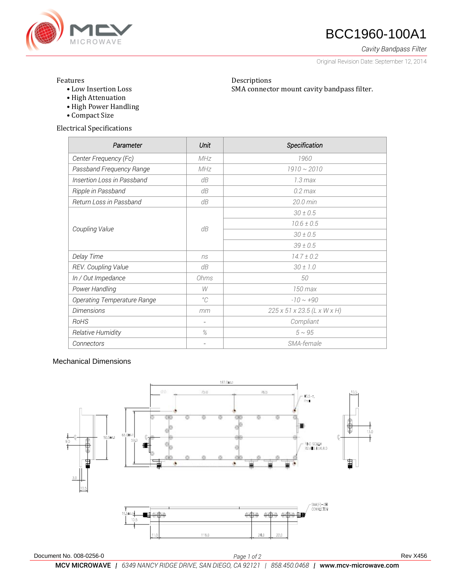

## **47 BCC1960-100A1**

*Cavity Bandpass Filter*

Original Revision Date: September 12, 2014

### Features

• Low Insertion Loss

Descriptions SMA connector mount cavity bandpass filter.

- High Attenuation • High Power Handling
- Compact Size

Electrical Specifications

| Parameter                   | Unit                     | Specification               |
|-----------------------------|--------------------------|-----------------------------|
| Center Frequency (Fc)       | <b>MHz</b>               | 1960                        |
| Passband Frequency Range    | MHz                      | $1910 \sim 2010$            |
| Insertion Loss in Passband  | dB                       | $1.3 \text{ max}$           |
| Ripple in Passband          | dB                       | $0.2$ max                   |
| Return Loss in Passband     | dB                       | $20.0 \text{ min}$          |
| Coupling Value              | dB                       | $30 \pm 0.5$                |
|                             |                          | $10.6 \pm 0.5$              |
|                             |                          | $30 \pm 0.5$                |
|                             |                          | $39 \pm 0.5$                |
| Delay Time                  | ns                       | $14.7 \pm 0.2$              |
| REV. Coupling Value         | dB                       | $30 \pm 1.0$                |
| In / Out Impedance          | Ohms                     | 50                          |
| Power Handling              | W                        | 150 max                     |
| Operating Temperature Range | $^{\circ}C$              | $-10 \sim +90$              |
| <b>Dimensions</b>           | mm                       | 225 x 51 x 23.5 (L x W x H) |
| RoHS                        | $\overline{\phantom{a}}$ | Compliant                   |
| Relative Humidity           | $\%$                     | $5 \sim 95$                 |
| Connectors                  |                          | SMA-female                  |

## Mechanical Dimensions